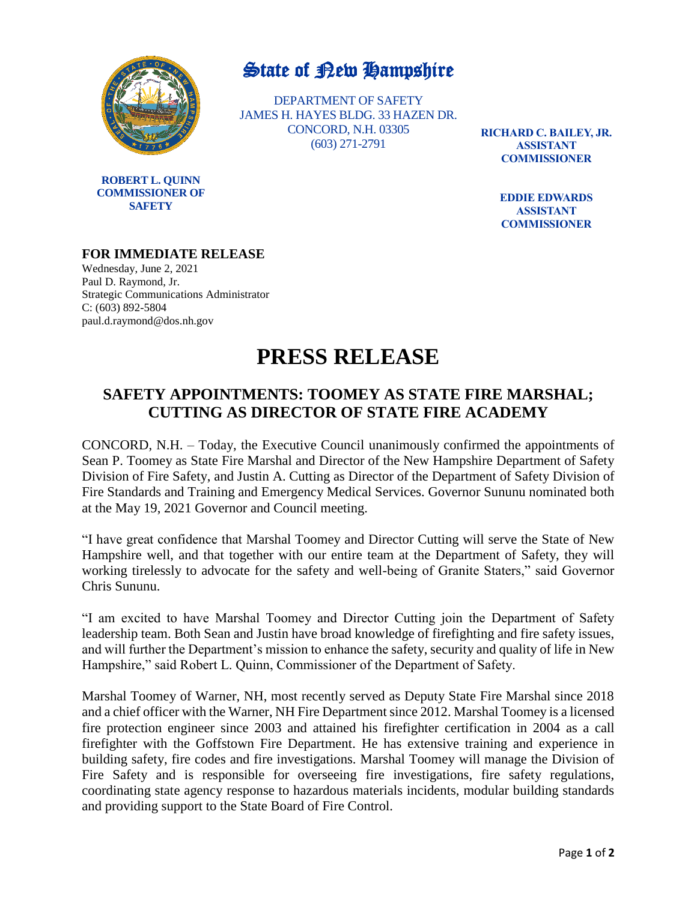

**ROBERT L. QUINN COMMISSIONER OF SAFETY**

## State of New Hampshire

DEPARTMENT OF SAFETY JAMES H. HAYES BLDG. 33 HAZEN DR. CONCORD, N.H. 03305 (603) 271-2791

**RICHARD C. BAILEY, JR. ASSISTANT COMMISSIONER**

> **EDDIE EDWARDS ASSISTANT COMMISSIONER**

## **FOR IMMEDIATE RELEASE**

Wednesday, June 2, 2021 Paul D. Raymond, Jr. Strategic Communications Administrator C: (603) 892-5804 paul.d.raymond@dos.nh.gov

## **PRESS RELEASE**

## **SAFETY APPOINTMENTS: TOOMEY AS STATE FIRE MARSHAL; CUTTING AS DIRECTOR OF STATE FIRE ACADEMY**

CONCORD, N.H. – Today, the Executive Council unanimously confirmed the appointments of Sean P. Toomey as State Fire Marshal and Director of the New Hampshire Department of Safety Division of Fire Safety, and Justin A. Cutting as Director of the Department of Safety Division of Fire Standards and Training and Emergency Medical Services. Governor Sununu nominated both at the May 19, 2021 Governor and Council meeting.

"I have great confidence that Marshal Toomey and Director Cutting will serve the State of New Hampshire well, and that together with our entire team at the Department of Safety, they will working tirelessly to advocate for the safety and well-being of Granite Staters," said Governor Chris Sununu.

"I am excited to have Marshal Toomey and Director Cutting join the Department of Safety leadership team. Both Sean and Justin have broad knowledge of firefighting and fire safety issues, and will further the Department's mission to enhance the safety, security and quality of life in New Hampshire," said Robert L. Quinn, Commissioner of the Department of Safety.

Marshal Toomey of Warner, NH, most recently served as Deputy State Fire Marshal since 2018 and a chief officer with the Warner, NH Fire Department since 2012. Marshal Toomey is a licensed fire protection engineer since 2003 and attained his firefighter certification in 2004 as a call firefighter with the Goffstown Fire Department. He has extensive training and experience in building safety, fire codes and fire investigations. Marshal Toomey will manage the Division of Fire Safety and is responsible for overseeing fire investigations, fire safety regulations, coordinating state agency response to hazardous materials incidents, modular building standards and providing support to the State Board of Fire Control.